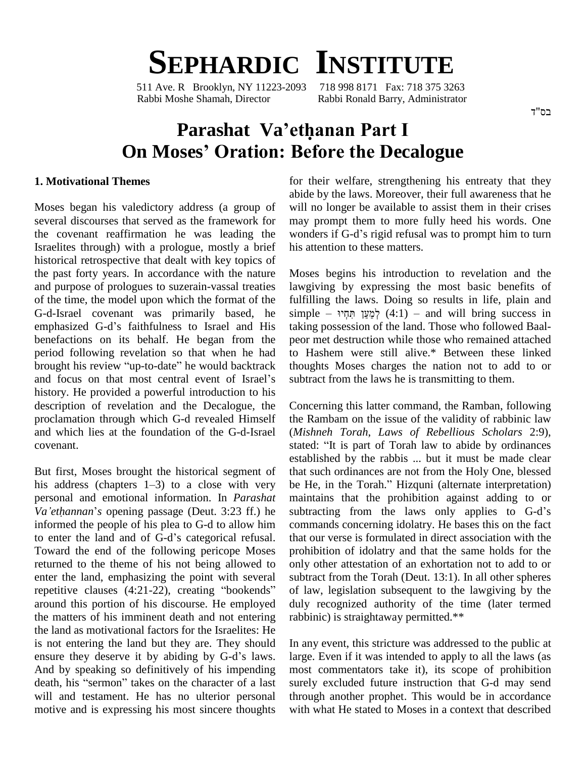# **SEPHARDIC INSTITUTE**

511 Ave. R Brooklyn, NY 11223-2093 718 998 8171 Fax: 718 375 3263 Rabbi Moshe Shamah, Director Rabbi Ronald Barry, Administrator

## **Parashat Vaíethanan Part <sup>I</sup> On Moses<sup>í</sup> Oration: Before the <sup>D</sup>ecalogue**

#### **1. Motivational Themes**

Moses began his valedictory address (a group of several discourses that served as the framework for Israelites through) with a prologue, mostly a brief historical retrospective that dealt with key topics of the past forty years. In accordance with the nature and purpose of prologues to suzerain-vassal treaties of the time, the model upon which the format of the G-d-Israel covenant was primarily based, he of the time, the model upon which the format of the<br>G-d-Israel covenant was primarily based, he simplemphasized G-d's faithfulness to Israel and His benefactions on its behalf. He began from the period following revelation so that when he had benefactions on its behalf. He began from the peor n<br>period following revelation so that when he had to Ha<br>brought his review "up-to-date" he would backtrack though period following revelation so that when he had to I<br>brought his review "up-to-date" he would backtrack thou<br>and focus on that most central event of Israel's subt history. He provided a powerful introduction to his description of revelation and the Decalogue, the proclamation through which G-d revealed Himself and which lies at the foundation of the G-d-Israel covenant.

But first, Moses brought the historical segment of establi<br>But first, Moses brought the historical segment of that st<br>his address (chapters 1–3) to a close with very be He personal and emotional information. In *Parashat* his address (chapters 1–3) to a close with very be H<br>personal and emotional information. In *Parashat* main<br>*Va*<sup>*'ethannan*'*s* opening passage (Deut. 3:23 ff.) he subtr</sup> informed the people of his plea to G-d to allow him Va'ethannan's opening passage (Deut. 3:23 ff.) he sumformed the people of his plea to G-d to allow him conter the land and of G-d's categorical refusal. Toward the end of the following pericope Moses returned to the theme of his not being allowed to only c<br>enter the land, emphasizing the point with several subtra<br>repetitive clauses (4:21-22), creating "bookends" of law enter the land, emphasizing the point with several around this portion of his discourse. He employed the matters of his imminent death and not entering the land as motivational factors for the Israelites: He is not entering the land but they are. They should the land as motivational factors for the Israelites: He<br>is not entering the land but they are. They should Ir<br>ensure they deserve it by abiding by G-d's laws. la And by speaking so definitively of his impending ensure they deserve it by abiding by G-d's laws. law<br>And by speaking so definitively of his impending m<br>death, his "sermon" takes on the character of a last su will and testament. He has no ulterior personal motive and is expressing his most sincere thoughts

the covenant reaffirmation he was leading the wonders if G-d's rigid refusal was to prompt him to turn for their welfare, strengthening his entreaty that they abide by the laws. Moreover, their full awareness that he will no longer be available to assist them in their crises<br>may prompt them to more fully heed his words. One<br>wonders if G-d's rigid refusal was to prompt him to turn may prompt them to more fully heed his words. One his attention to these matters.

> Moses begins his introduction to revelation and the lawgiving by expressing the most basic benefits of fulfilling the laws. Doing so results in life, plain and  $simple - \gamma$ לְמַעַן תְּחָיוּ $(4:1) -$  and will bring success in taking possession of the land. Those who followed Baal peor met destruction while those who remained attached to Hashem were still alive.\* Between these linked thoughts Moses charges the nation not to add to or subtract from the laws he is transmitting to them.

Concerning this latter command, the Ramban, following the Rambam on the issue of the validity of rabbinic law (*Mishneh Torah*, *Laws of Rebellious Scholars* 2:9), stated: "It is part of Torah law to abide by ordinances established by the rabbis ... but it must be made clear that such ordinances are not from the Holy One, blessed established by the rabbis ... but it must be made clear<br>that such ordinances are not from the Holy One, blessed<br>be He, in the Torah." Hizquni (alternate interpretation) maintains that the prohibition against adding to or be He, in the Torah." Hizquni (alternate interpretation)<br>maintains that the prohibition against adding to or<br>subtracting from the laws only applies to G-d's commands concerning idolatry. He bases this on the fact that our verse is formulated in direct association with the prohibition of idolatry and that the same holds for the only other attestation of an exhortation not to add to or subtract from the Torah (Deut. 13:1). In all other spheres of law, legislation subsequent to the lawgiving by the duly recognized authority of the time (later termed rabbinic) is straightaway permitted.\*\*

In any event, this stricture was addressed to the public at large. Even if it was intended to apply to all the laws (as most commentators take it), its scope of prohibition surely excluded future instruction that G-d may send through another prophet. This would be in accordance with what He stated to Moses in a context that described

בס"ד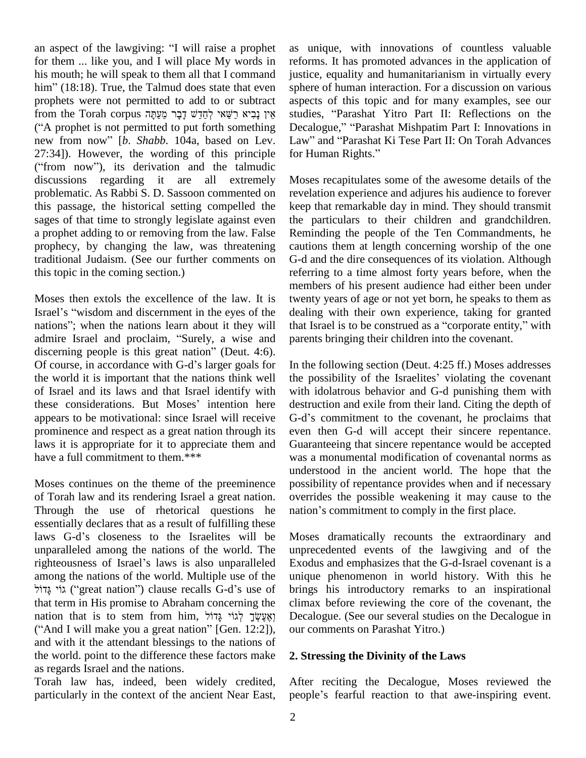an aspect of the lawgiving: "I will raise a prophet for them ... like you, and I will place My words in his mouth; he will speak to them all that I command justice for them ... like you, and I will place My words in reform<br>his mouth; he will speak to them all that I command justice<br>him" (18:18). True, the Talmud does state that even sphere prophets were not permitted to add to or subtract him" (18:18). True, the Talmud does state that even<br>prophets were not permitted to add to or subtract asp<br>from the Torah corpus אֲין נָבִיא יַ לְחַדֵּשׁ דָּבָר מֲעַתָּה עֲ prophets were not permitted to add to or subtract<br>
spect אֵין נָבִיא רַשֵּׁאי לְחַדֵּשׁ דָּבָר מֵעַתָּה studie:<br>
A prophet is not permitted to put forth something Decale new from now<sup>î</sup> [*b*. *Shabb*. 104a, based on Lev. 27:34]). However, the wording of this principle for Human Rights." new from now" [*b. Shabb.* 104a, based on Lev. Law" and "Parashat Ki Tese Part II: On Torah Advances 27:34]). However, the wording of this principle for Human Rights."<br>("from now"), its derivation and the talmudic discussions regarding it are all extremely problematic. As Rabbi S. D. Sassoon commented on this passage, the historical setting compelled the sages of that time to strongly legislate against even a prophet adding to or removing from the law. False prophecy, by changing the law, was threatening traditional Judaism. (See our further comments on this topic in the coming section.)

Moses then extols the excellence of the law. It is mem<br>Israel's "wisdom and discernment in the eyes of the dealing-<br>Israel's "wisdom and discernment in the eyes of the dealing Israel's "wisdom and discernment in the eyes of the nations"; when the nations learn about it they will admire Israel and proclaim, "Surely, a wise and nations"; when the nations learn about it they will the admire Israel and proclaim, "Surely, a wise and padiscerning people is this great nation" (Deut. 4:6). admire Israel and proclaim, "Surely, a wise and pare<br>discerning people is this great nation" (Deut. 4:6).<br>Of course, in accordance with G-d's larger goals for In t the world it is important that the nations think well of Israel and its laws and that Israel identify with these considerations. But Moses' intention here prominence and respect as a great nation through its laws it is appropriate for it to appreciate them and have a full commitment to them.\*\*\*

Moses continues on the theme of the preeminence of Torah law and its rendering Israel a great nation. Through the use of rhetorical questions he nation's commitment to comply in the first place. essentially declares that as a result of fulfilling these Through the use of rhetorical questions he nations<br>essentially declares that as a result of fulfilling these<br>laws G-d's closeness to the Israelites will be Mose unparalleled among the nations of the world. The laws G-d's closeness to the Israelites will be among the nations of the world. Multiple use of the righteousness of Israel's laws is also unparalleled Examong the nations of the world. Multiple use of the uni<br>ווי גָּדוֹל) cigreat nation'') clause recalls G-d's use of bri that term in His promise to Abraham concerning the גֹוֹי גֶּדוֹל ("great nation") clause recalls G-d's use of br<br>that term in His promise to Abraham concerning the cli<br>nation that is to stem from him, יָּגוֹי גָּדוֹל גָּדוֹי גָּדוֹל fhat term in His promise to Abraham concerning the<br>nation that is to stem from him, וְאֶעֶשֶׂךָ לְגוֹי גָּדוֹל<br>(''And I will make you a great nation'' [Gen. 12:2]), o and with it the attendant blessings to the nations of the world. point to the difference these factors make as regards Israel and the nations.

Torah law has, indeed, been widely credited, particularly in the context of the ancient Near East, as unique, with innovations of countless valuable reforms. It has promoted advances in the application of justice, equality and humanitarianism in virtually every sphere of human interaction. For a discussion on various aspects of this topic and for many examples, see our sphere of human interaction. For a discussion on various<br>aspects of this topic and for many examples, see our<br>studies, "Parashat Yitro Part II: Reflections on the aspects of this topic and for many examples, see our<br>studies, "Parashat Yitro Part II: Reflections on the<br>Decalogue," "Parashat Mishpatim Part I: Innovations in studies, "Parashat Yitro Part II: Reflections on the<br>Decalogue," "Parashat Mishpatim Part I: Innovations in<br>Law" and "Parashat Ki Tese Part II: On Torah Advances Decalogue," "Parashat Misl<br>Law" and "Parashat Ki Tese<br>for Human Rights."

Moses recapitulates some of the awesome details of the revelation experience and adjures his audience to forever keep that remarkable day in mind. They should transmit the particulars to their children and grandchildren. Reminding the people of the Ten Commandments, he cautions them at length concerning worship of the one G-d and the dire consequences of its violation. Although referring to a time almost forty years before, when the members of his present audience had either been under twenty years of age or not yet born, he speaks to them as dealing with their own experience, taking for granted that Israel is to be construed as a "corporate entity," with parents bringing their children into the covenant.

appears to be motivational: since Israel will receive G-d's commitment to the covenant, he proclaims that In the following section (Deut. 4:25 ff.) Moses addresses the possibility of the Israelites' violating the covenant with idolatrous behavior and G-d punishing them with<br>destruction and exile from their land. Citing the depth of<br>G-d's commitment to the covenant, he proclaims that destruction and exile from their land. Citing the depth of even then G-d will accept their sincere repentance. Guaranteeing that sincere repentance would be accepted was a monumental modification of covenantal norms as understood in the ancient world. The hope that the possibility of repentance provides when and if necessary<br>overrides the possible weakening it may cause to the<br>nation's commitment to comply in the first place. overrides the possible weakening it may cause to the

> Moses dramatically recounts the extraordinary and unprecedented events of the lawgiving and of the Exodus and emphasizes that the G-d-Israel covenant is a unique phenomenon in world history. With this he brings his introductory remarks to an inspirational climax before reviewing the core of the covenant, the Decalogue. (See our several studies on the Decalogue in our comments on Parashat Yitro.)

### **2. Stressing the Divinity of the Laws**

After reciting the Decalogue, Moses reviewed the people's fearful reaction to that awe-inspiring event.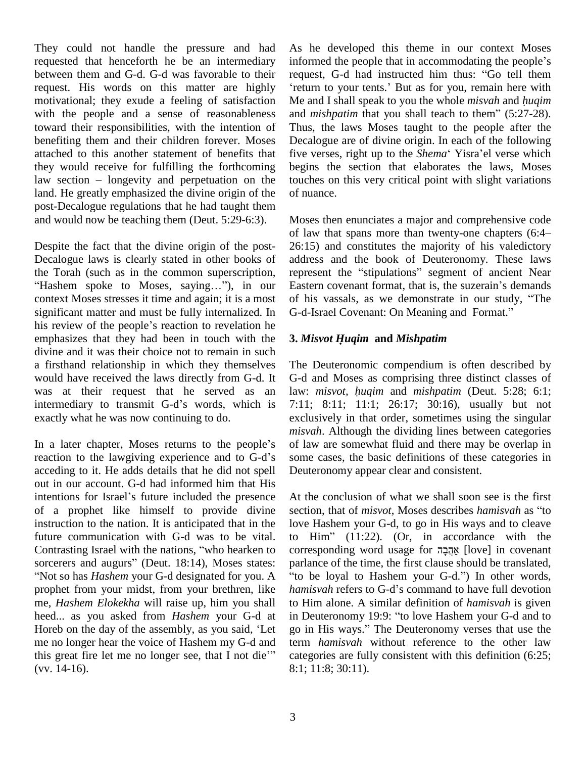They could not handle the pressure and had requested that henceforth he be an intermediary between them and G-d. G-d was favorable to their request. His words on this matter are highly toward their responsibilities, with the intention of benefiting them and their children forever. Moses attached to this another statement of benefits that five v<br>they would receive for fulfilling the forthcoming begin<br>law section – longevity and perpetuation on the touch they would receive for fulfilling the forthcoming land. He greatly emphasized the divine origin of the post-Decalogue regulations that he had taught them and would now be teaching them (Deut. 5:29-6:3).

Despite the fact that the divine origin of the post-Decalogue laws is clearly stated in other books of add<br>the Torah (such as in the common superscription, rep<br>"Hashem spoke to Moses, saying..."), in our Eas context Moses stresses it time and again; it is a most significant matter and must be fully internalized. In context Moses stresses it time and again; it is a most of his significant matter and must be fully internalized. In G-d-l his review of the people's reaction to revelation he emphasizes that they had been in touch with the  $3.$  Misvot Huqim and Mishpatim divine and it was their choice not to remain in such a firsthand relationship in which they themselves would have received the laws directly from G-d. It was at their request that he served as an intermediary to transmit G-d's words, which is exactly what he was now continuing to do.

In a later chapter, Moses returns to the people's reaction to the lawgiving experience and to G-d's acceding to it. He adds details that he did not spell Deutout in our account. G-d had informed him that His intentions for Israel's future included the presence At the out in our account. G-d had informed him that His of a prophet like himself to provide divine instruction to the nation. It is anticipated that in the future communication with G-d was to be vital. instruction to the nation. It is anticipated that in the love H<br>future communication with G-d was to be vital. to H<br>Contrasting Israel with the nations, "who hearken to corres future communication with G-d was to be vital. to<br>Contrasting Israel with the nations, "who hearken to co<br>sorcerers and augurs" (Deut. 18:14), Moses states: pa Not so has *Hashem* your G-d designated for you. A me, *Hashem Elokekha* will raise up, him you shall heed... as you asked from *Hashem* your G-d at me, *Hashem Elokekha* will raise up, him you shall to heed... as you asked from *Hashem* your G-d at in Horeb on the day of the assembly, as you said, 'Let go me no longer hear the voice of Hashem my G-d and Horeb on the day of the assembly, as you said, 'Let go in<br>me no longer hear the voice of Hashem my G-d and term<br>this great fire let me no longer see, that I not die''' categ (vv. 14-16).

motivational; they exude a feeling of satisfaction Me and I shall speak to you the whole *misvah* and *hugim* with the people and a sense of reasonableness and *mishpatim* that you shall teach to them"  $(5:27-28)$ . As he developed this theme in our context Moses As he developed this theme in our context Moses<br>informed the people that in accommodating the people's As he developed this theme in our context Moses<br>informed the people that in accommodating the people's<br>request, G-d had instructed him thus: "Go tell them informed the people that in accommodating the people's<br>request, G-d had instructed him thus: "Go tell them<br>'return to your tents.' But as for you, remain here with request, G-d had instructed him thus: "Go tell them 'return to your tents.' But as for you, remain here with Thus, the laws Moses taught to the people after the Decalogue are of divine origin. In each of the following five verses, right up to the *Shema*<sup> $\cdot$ </sup> Yisra'el verse which begins the section that elaborates the laws, Moses touches on this very critical point with slight variations of nuance.

> Moses then enunciates a major and comprehensive code of law that spans more than twenty-one chapters  $(6:4-)$ 26:15) and constitutes the majority of his valedictory address and the book of Deuteronomy. These laws 26:15) and constitutes the majority of his valedictory<br>address and the book of Deuteronomy. These laws<br>represent the "stipulations" segment of ancient Near address and the book of Deuteronomy. These laws<br>represent the "stipulations" segment of ancient Near<br>Eastern covenant format, that is, the suzerain's demands represent the "stipulations" segment of ancient Near<br>Eastern covenant format, that is, the suzerain's demands<br>of his vassals, as we demonstrate in our study, "The Eastern covenant format, that is, the suzerain's demands of his vassals, as we demonstrate in our study, "The **3. 4.** *Gd-Israel Covenant: On Meaning and Format."*

The Deuteronomic compendium is often described by G-d and Moses as comprising three distinct classes of law: *misvot, <sup>h</sup>uqim* and *mishpatim* (Deut. 5:28; 6:1; 7:11; 8:11; 11:1; 26:17; 30:16), usually but not exclusively in that order, sometimes using the singular *misvah*. Although the dividing lines between categories of law are somewhat fluid and there may be overlap in some cases, the basic definitions of these categories in Deuteronomy appear clear and consistent.

prophet from your midst, from your brethren, like *hamisvah* refers to G-d's command to have full devotion At the conclusion of what we shall soon see is the first section, that of *misvot*, Moses describes *hamisvah* as "to love Hashem your G-d, to go in His ways and to cleave section, that of *misvot*, Moses describes *hamisvah* as "to<br>love Hashem your G-d, to go in His ways and to cleave<br>to Him" (11:22). (Or, in accordance with the love Hashem your G-d, to go in His ways and to cleave<br>to Him" (11:22). (Or, in accordance with the<br>corresponding word usage for קָבָה [love] in covenant parlance of the time, the first clause should be translated, <sup>ì</sup>orresponding word usage for אֲהֲבָה [love] in covenant arlance of the time, the first clause should be translated,<br>to be loyal to Hashem your G-d.") In other words, parlance of the time, the first clause should be translated,<br>"to be loyal to Hashem your G-d.") In other words,<br>*hamisvah* refers to G-d's command to have full devotion to Him alone. A similar definition of *hamisvah* is given *hamisvah* refers to G-d's command to have full devotion<br>to Him alone. A similar definition of *hamisvah* is given<br>in Deuteronomy 19:9: "to love Hashem your G-d and to to Him alone. A similar definition of *hamisvah* is given<br>in Deuteronomy 19:9: "to love Hashem your G-d and to<br>go in His ways." The Deuteronomy verses that use the term *hamisvah* without reference to the other law categories are fully consistent with this definition (6:25; 8:1; 11:8; 30:11).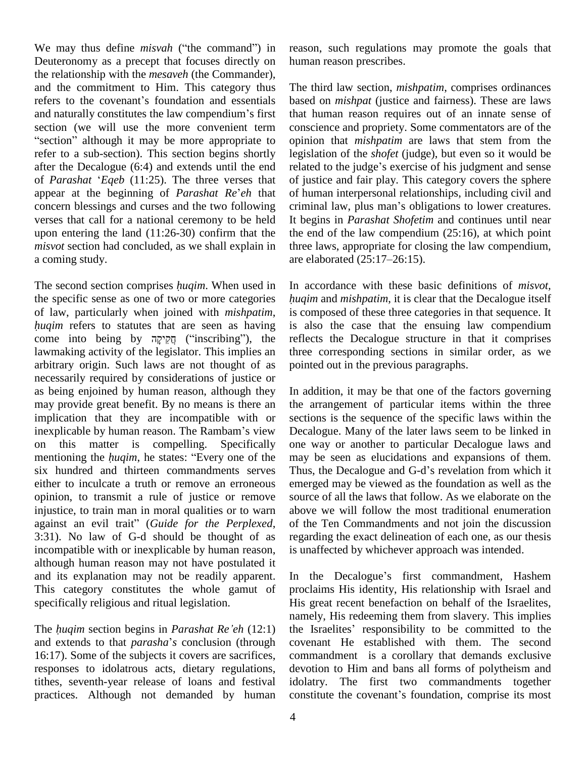We may thus define *misvah* ("the command") in Deuteronomy as a precept that focuses directly on the relationship with the *mesaveh* (the Commander), and the commitment to Him. This category thus The refers to the covenant's foundation and essentials base and the commitment to Him. This category thus The refers to the covenant's foundation and essentials base and naturally constitutes the law compendium's first that section (we will use the more convenient term conscience and naturally constitutes the law compendium's first nd naturally constitutes the law compendium's first that hection (we will use the more convenient term consci<br>section" although it may be more appropriate to opinion refer to a sub-section). This section begins shortly legislar<br>after the Decalogue (6:4) and extends until the end related<br>of *Parashat 'Eqeb* (11:25). The three verses that of just after the Decalogue (6:4) and extends until the end of *Parashat 'Eqeb* (11:25). The three verses that appear at the beginning of *Parashat Re'eh* that verses that call for a national ceremony to be held upon entering the land (11:26-30) confirm that the *misvot* section had concluded, as we shall explain in a coming study. a coming study.<br>The second section comprises *huqim*. When used in In accordance with these ba

the specific sense as one of two or more categories *huqim* of law, particularly when joined with *mishpatim*, is compliqued *huqim* refers to statutes that are seen as having is als of law, particularly when joined with *mishpatim*, *huqim* refers to statutes that are seen as having come into being by הַקִיקָה ("inscribing"), the lawmaking activity of the legislator. This implies an arbitrary origin. Such laws are not thought of as necessarily required by considerations of justice or as being enjoined by human reason, although they may provide great benefit. By no means is there an implication that they are incompatible with or may provide great benefit. By no means is there an the arrangemplication that they are incompatible with or sections is inexplicable by human reason. The Rambam's view Decalogue on this matter is compelling. Specifically inexplicable by human reason. The Rambam's view<br>on this matter is compelling. Specifically<br>mentioning the *huqim*, he states: "Every one of the either to inculcate a truth or remove an erroneous opinion, to transmit a rule of justice or remove source injustice, to train man in moral qualities or to warn above against an evil trait" (*Guide for the Perplexed*, of the injustice, to train man in moral qualities or to warn 3:31). No law of G-d should be thought of as incompatible with or inexplicable by human reason, although human reason may not have postulated it and its explanation may not be readily apparent. This category constitutes the whole gamut of specifically religious and ritual legislation.

and extends to that *parasha*'s conclusion (through 16:17). Some of the subjects it covers are sacrifices, responses to idolatrous acts, dietary regulations, tithes, seventh-year release of loans and festival reason, such regulations may promote the goals that human reason prescribes.

concern blessings and curses and the two following criminal law, plus man's obligations to lower creatures. The third law section, *mishpatim*, comprises ordinances based on *mishpat* (justice and fairness). These are laws that human reason requires out of an innate sense of conscience and propriety. Some commentators are of the opinion that *mishpatim* are laws that stem from the legislation of the *shofet* (judge), but even so it would be related to the judge's exercise of his judgment and sense of justice and fair play. This category covers the sphere of human interpersonal relationships, including civil and of justice and fair play. This category covers the sphere<br>of human interpersonal relationships, including civil and<br>criminal law, plus man's obligations to lower creatures. It begins in *Parashat Shofetim* and continues until near the end of the law compendium  $(25:16)$ , at which point three laws, appropriate for closing the law compendium, are elaborated  $(25:17–26:15)$ . three laws, appropriate for closing the law compendium,

> In accordance with these basic definitions of *misvot, <sup>h</sup>uqim* and *mishpatim*, it is clear that the Decalogue itself is composed of these three categories in that sequence. It is also the case that the ensuing law compendium reflects the Decalogue structure in that it comprises three corresponding sections in similar order, as we pointed out in the previous paragraphs.

six hundred and thirteen commandments serves Thus, the Decalogue and G-d's revelation from which it In addition, it may be that one of the factors governing the arrangement of particular items within the three sections is the sequence of the specific laws within the Decalogue. Many of the later laws seem to be linked in one way or another to particular Decalogue laws and Thus, the Decalogue and G-dí<sup>s</sup> revelation from which it may be seen as elucidations and expansions of them. emerged may be viewed as the foundation as well as the source of all the laws that follow. As we elaborate on the above we will follow the most traditional enumeration of the Ten Commandments and not join the discussion regarding the exact delineation of each one, as our thesis is unaffected by whichever approach was intended.

The *<sup>h</sup>uqim* section begins in *Parashat Reíeh* (12:1) practices. Although not demanded by human constitute the covenant's foundation, comprise its most In the Decalogue's first commandment, Hashem proclaims His identity, His relationship with Israel and His great recent benefaction on behalf of the Israelites, namely, His redeeming them from slavery. This implies His great recent benefaction on behalf of the Israelites, namely, His redeeming them from slavery. This implies the Israelites' responsibility to be committed to the covenant He established with them. The second commandment is a corollary that demands exclusive devotion to Him and bans all forms of polytheism and idolatry. The first two commandments together constitute the covenant's foundation, comprise its most idolatry. The first two commandments together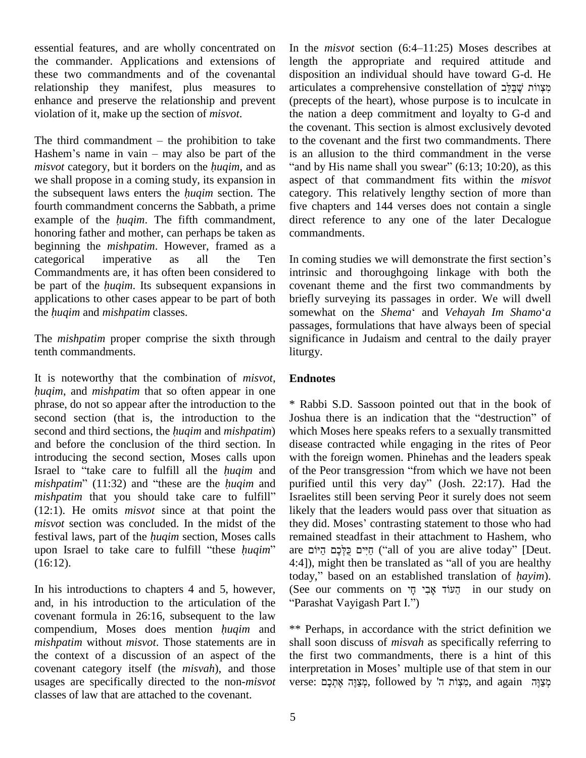essential features, and are wholly concentrated on the commander. Applications and extensions of these two commandments and of the covenantal enhance and preserve the relationship and prevent violation of it, make up the section of *misvot*. violation of it, make up the section of *misvot*. The n the commandment – the prohibition to take to the

the commandment – the prohibition to take to the<br>Hashem's name in vain – may also be part of the is an The third commandment – the prohibition to take to the *Hashem's* name in vain – may also be part of the is a *misvot* category, but it borders on the *huqim*, and as "and we shall propose in a coming study, its expansion in misvot category, but it borders on the *huqim*, and as fourth commandment concerns the Sabbath, a prime the subsequent laws enters the *huqim* section. The fourth commandment concerns the Sabbath, a prime example of the *huqim*. The fifth commandment, honoring father and mother, can perhaps be taken as beginning the *mishpatim*. However, framed as a categorical imperative as all the Ten Commandments are, it has often been considered to categorical imperative as all the Ten Incom<br>Commandments are, it has often been considered to intrins<br>be part of the *huqim*. Its subsequent expansions in covena applications to other cases appear to be part of both be part of the *huqim*. Its subsequent expansions in applications to other cases appear to be part of both the *huqim* and *mishpatim* classes.

The *mishpatim* proper comprise the sixth through tenth commandments.

It is noteworthy that the combination of *misvot*, *<sup>h</sup>uqim*, and *mishpatim* that so often appear in one phrase, do not so appear after the introduction to the <sup>\*</sup> Ra second section (that is, the introduction to the Joshu second and third sections, the *huqim* and *mishpatim*) which second section (that is, the introduction to the and before the conclusion of the third section. In introducing the second section, Moses calls upon and before the conclusion of the third section. In disease introducing the second section, Moses calls upon with the Israel to "take care to fulfill all the *huqim* and of the introducing the second section, Moses calls upon with the *hishpatim*<sup>n</sup> (11:32) and "these are the *huqim* and purific Israel to <sup>"</sup>take care to fulfill all the *huqim* and of the *mishpatim*" (11:32) and "these are the *huqim* and purifical purifical purifical purifical purifical purifical purifical purifical purifical purifical purifical (12:1). He omits *misvot* since at that point the festival laws, part of the *<sup>h</sup>uqim* section, Moses calls *misvot* section was concluded. In the midst of the  $(16:12)$ .

and, in his introduction to the articulation of the "Parashat Vayigash Part I.") covenant formula in 26:16, subsequent to the law and, in his introduction to the articulation of the "Paras covenant formula in 26:16, subsequent to the law compendium, Moses does mention *huqim* and \*\* Per *mishpatim* without *misvot*. Those statements are in the context of a discussion of an aspect of the covenant category itself (the *misvah*), and those classes of law that are attached to the covenant.

relationship they manifest, plus measures to In the *misvot* section (6:4–11:25) Moses describes at length the appropriate and required attitude and<br>disposition an individual should have toward G-d. He<br>מִצְּוֹת שֶׁבַּלֵּב φ λιγγειμμάτοι of מַצְוֹת שֶׁבַּלֵּב disposition an individual should have toward G-d. He (precepts of the heart), whose purpose is to inculcate in the nation a deep commitment and loyalty to G-d and the covenant. This section is almost exclusively devoted to the covenant and the first two commandments. There is an allusion to the third commandment in the verse "and by His name shall you swear"  $(6:13; 10:20)$ , as this aspect of that commandment fits within the *misvot* category. This relatively lengthy section of more than five chapters and 144 verses does not contain a single direct reference to any one of the later Decalogue commandments.

> In coming studies we will demonstrate the first section's intrinsic and thoroughgoing linkage with both the covenant theme and the first two commandments by briefly surveying its passages in order. We will dwell somewhat on the *Shema*<sup>ë</sup> and *Vehayah Im Shamo*ë*<sup>a</sup>* passages, formulations that have always been of special significance in Judaism and central to the daily prayer liturgy.

#### **Endnotes**

festival laws, part of the *huqim* section, Moses calls remained steadfast in their attachment to Hashem, who upon Israel to take care to fulfill "these *huqim*" are קיים כּוֹלְכֵם הַיוֹם ("all of you are alive today" [De In his introductions to chapters 4 and 5, however, \* Rabbi S.D. Sassoon pointed out that in the book of Joshua there is an indication that the "destruction" of which Moses here speaks refers to a sexually transmitted disease contracted while engaging in the rites of Peor with the foreign women. Phinehas and the leaders speak disease contracted while engaging in the rites of Peor<br>with the foreign women. Phinehas and the leaders speak<br>of the Peor transgression "from which we have not been with the foreign women. Phinehas and the leaders speak<br>of the Peor transgression "from which we have not been<br>purified until this very day" (Josh. 22:17). Had the Israelites still been serving Peor it surely does not seem likely that the leaders would pass over that situation as Israelites still been serving Peor it surely does not seem<br>likely that the leaders would pass over that situation as<br>they did. Moses' contrasting statement to those who had remained steadfast in their attachment to Hashem, who are הַיִּים כַּלְכֶם הַיּוֹם give today" [Deut.<br>4:4]), might then be translated as "all of you are healthy they did. Moses' contrasting statement to those who had are הַיִּים כֵּלְכָם הַיּוֹם ("all of you are alive today" [Deut.<br>4:4]), might then be translated as "all of you are healthy today," based on an established translation of *hayim*). (4:4]), might then be translated as "all of you are healthy today," based on an established translation of *hayim*).<br>(See our comments on הֲעוֹד אֲבִי הָי in our study on foday," based on an established<br>
(See our comments on קיבי קי<br>
"Parashat Vayigash Part I.")

usages are specifically directed to the non-*misvot* \*\* Perhaps, in accordance with the strict definition we shall soon discuss of *misvah* as specifically referring to<br>the first two commandments, there is a hint of this<br>interpretation in Moses' multiple use of that stem in our the first two commandments, there is a hint of this ʤthe first two commandments, there is a hint of this interpretation in Moses' multiple use of that stem in our verse: מְצָוָּה אֶתְכָם , followed by 'קָצְוָּה and again מְצָוֹה אֶתְכָם